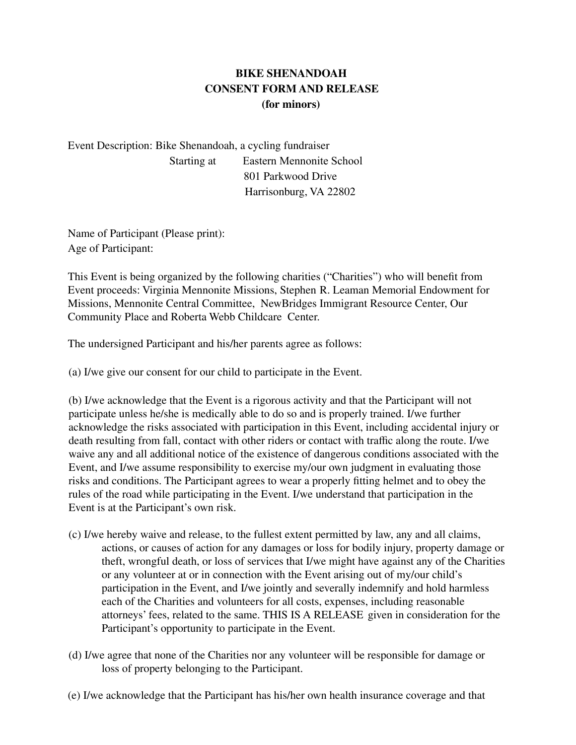## **BIKE SHENANDOAH CONSENT FORM AND RELEASE (for minors)**

Event Description: Bike Shenandoah, a cycling fundraiser Starting at Eastern Mennonite School 801 Parkwood Drive Harrisonburg, VA 22802

Name of Participant (Please print): Age of Participant:

This Event is being organized by the following charities ("Charities") who will benefit from Event proceeds: Virginia Mennonite Missions, Stephen R. Leaman Memorial Endowment for Missions, Mennonite Central Committee, NewBridges Immigrant Resource Center, Our Community Place and Roberta Webb Childcare Center.

The undersigned Participant and his/her parents agree as follows:

(a) I/we give our consent for our child to participate in the Event.

(b) I/we acknowledge that the Event is a rigorous activity and that the Participant will not participate unless he/she is medically able to do so and is properly trained. I/we further acknowledge the risks associated with participation in this Event, including accidental injury or death resulting from fall, contact with other riders or contact with traffic along the route. I/we waive any and all additional notice of the existence of dangerous conditions associated with the Event, and I/we assume responsibility to exercise my/our own judgment in evaluating those risks and conditions. The Participant agrees to wear a properly fitting helmet and to obey the rules of the road while participating in the Event. I/we understand that participation in the Event is at the Participant's own risk.

- (c) I/we hereby waive and release, to the fullest extent permitted by law, any and all claims, actions, or causes of action for any damages or loss for bodily injury, property damage or theft, wrongful death, or loss of services that I/we might have against any of the Charities or any volunteer at or in connection with the Event arising out of my/our child's participation in the Event, and I/we jointly and severally indemnify and hold harmless each of the Charities and volunteers for all costs, expenses, including reasonable attorneys' fees, related to the same. THIS IS A RELEASE given in consideration for the Participant's opportunity to participate in the Event.
- (d) I/we agree that none of the Charities nor any volunteer will be responsible for damage or loss of property belonging to the Participant.
- (e) I/we acknowledge that the Participant has his/her own health insurance coverage and that